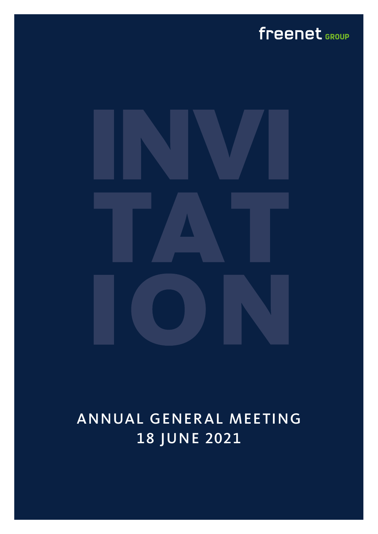# freenet GROUP



# ANNUAL GENERAL MEETING 18 JUNE 2021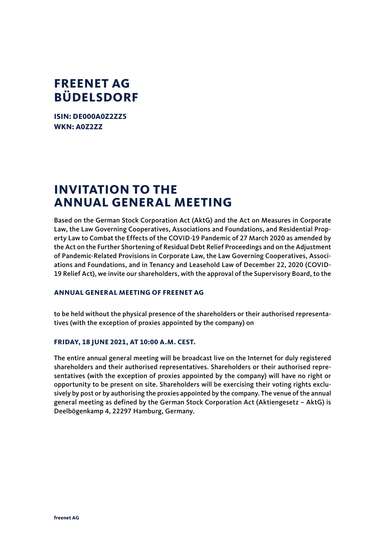## **FREENET AG BÜDELSDORF**

**ISIN: DE000A0Z2ZZ5 WKN: A0Z2ZZ**

## **INVITATION TO THE ANNUAL GENERAL MEETING**

Based on the German Stock Corporation Act (AktG) and the Act on Measures in Corporate Law, the Law Governing Cooperatives, Associations and Foundations, and Residential Property Law to Combat the Effects of the COVID-19 Pandemic of 27 March 2020 as amended by the Act on the Further Shortening of Residual Debt Relief Proceedings and on the Adjustment of Pandemic-Related Provisions in Corporate Law, the Law Governing Cooperatives, Associations and Foundations, and in Tenancy and Leasehold Law of December 22, 2020 (COVID-19 Relief Act), we invite our shareholders, with the approval of the Supervisory Board, to the

### **ANNUAL GENERAL MEETING OF FREENET AG**

to be held without the physical presence of the shareholders or their authorised representatives (with the exception of proxies appointed by the company) on

### **FRIDAY, 18 JUNE 2021, AT 10:00 A.M. CEST.**

The entire annual general meeting will be broadcast live on the Internet for duly registered shareholders and their authorised representatives. Shareholders or their authorised representatives (with the exception of proxies appointed by the company) will have no right or opportunity to be present on site. Shareholders will be exercising their voting rights exclusively by post or by authorising the proxies appointed by the company. The venue of the annual general meeting as defined by the German Stock Corporation Act (Aktiengesetz – AktG) is Deelbögenkamp 4, 22297 Hamburg, Germany.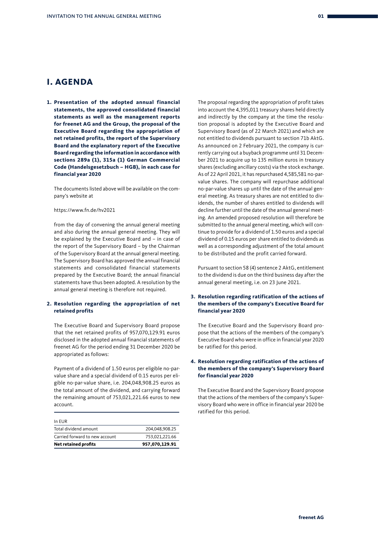## **I. AGENDA**

**1. Presentation of the adopted annual financial statements, the approved consolidated financial statements as well as the management reports for freenet AG and the Group, the proposal of the Executive Board regarding the appropriation of net retained profits, the report of the Supervisory Board and the explanatory report of the Executive Board regarding the information in accordance with sections 289a (1), 315a (1) German Commercial Code (Handelsgesetzbuch – HGB), in each case for financial year 2020**

The documents listed above will be available on the company's website at

#### https://www.fn.de/hv2021

from the day of convening the annual general meeting and also during the annual general meeting. They will be explained by the Executive Board and – in case of the report of the Supervisory Board – by the Chairman of the Supervisory Board at the annual general meeting. The Supervisory Board has approved the annual financial statements and consolidated financial statements prepared by the Executive Board; the annual financial statements have thus been adopted. A resolution by the annual general meeting is therefore not required.

#### **2. Resolution regarding the appropriation of net retained profits**

The Executive Board and Supervisory Board propose that the net retained profits of 957,070,129.91 euros disclosed in the adopted annual financial statements of freenet AG for the period ending 31 December 2020 be appropriated as follows:

Payment of a dividend of 1.50 euros per eligible no-parvalue share and a special dividend of 0.15 euros per eligible no-par-value share, i.e. 204,048,908.25 euros as the total amount of the dividend, and carrying forward the remaining amount of 753,021,221.66 euros to new account.

| <b>Net retained profits</b>    | 957,070,129.91 |
|--------------------------------|----------------|
| Carried forward to new account | 753.021.221.66 |
| Total dividend amount          | 204.048.908.25 |
| In EUR                         |                |

The proposal regarding the appropriation of profit takes into account the 4,395,011 treasury shares held directly and indirectly by the company at the time the resolution proposal is adopted by the Executive Board and Supervisory Board (as of 22 March 2021) and which are not entitled to dividends pursuant to section 71b AktG. As announced on 2 February 2021, the company is currently carrying out a buyback programme until 31 December 2021 to acquire up to 135 million euros in treasury shares (excluding ancillary costs) via the stock exchange. As of 22 April 2021, it has repurchased 4,585,581 no-parvalue shares. The company will repurchase additional no-par-value shares up until the date of the annual general meeting. As treasury shares are not entitled to dividends, the number of shares entitled to dividends will decline further until the date of the annual general meeting. An amended proposed resolution will therefore be submitted to the annual general meeting, which will continue to provide for a dividend of 1.50 euros and a special dividend of 0.15 euros per share entitled to dividends as well as a corresponding adjustment of the total amount to be distributed and the profit carried forward.

Pursuant to section 58 (4) sentence 2 AktG, entitlement to the dividend is due on the third business day after the annual general meeting, i.e. on 23 June 2021.

#### **3. Resolution regarding ratification of the actions of the members of the company's Executive Board for financial year 2020**

The Executive Board and the Supervisory Board propose that the actions of the members of the company's Executive Board who were in office in financial year 2020 be ratified for this period.

#### **4. Resolution regarding ratification of the actions of the members of the company's Supervisory Board for financial year 2020**

The Executive Board and the Supervisory Board propose that the actions of the members of the company's Supervisory Board who were in office in financial year 2020 be ratified for this period.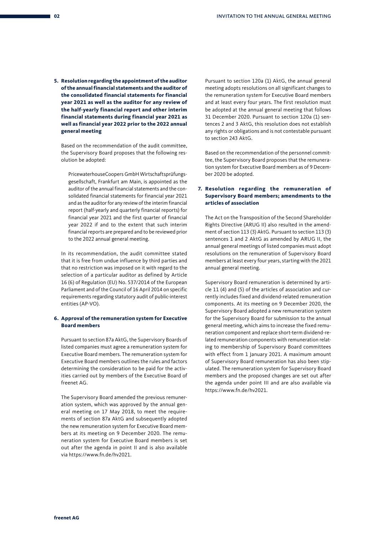**5. Resolution regarding the appointment of the auditor of the annual financial statements and the auditor of the consolidated financial statements for financial year 2021 as well as the auditor for any review of the half-yearly financial report and other interim financial statements during financial year 2021 as well as financial year 2022 prior to the 2022 annual general meeting** 

Based on the recommendation of the audit committee, the Supervisory Board proposes that the following resolution be adopted:

PricewaterhouseCoopers GmbH Wirtschaftsprüfungsgesellschaft, Frankfurt am Main, is appointed as the auditor of the annual financial statements and the consolidated financial statements for financial year 2021 and as the auditor for any review of the interim financial report (half-yearly and quarterly financial reports) for financial year 2021 and the first quarter of financial year 2022 if and to the extent that such interim financial reports are prepared and to be reviewed prior to the 2022 annual general meeting.

In its recommendation, the audit committee stated that it is free from undue influence by third parties and that no restriction was imposed on it with regard to the selection of a particular auditor as defined by Article 16 (6) of Regulation (EU) No. 537/2014 of the European Parliament and of the Council of 16 April 2014 on specific requirements regarding statutory audit of public-interest entities (AP-VO).

#### **6. Approval of the remuneration system for Executive Board members**

Pursuant to section 87a AktG, the Supervisory Boards of listed companies must agree a remuneration system for Executive Board members. The remuneration system for Executive Board members outlines the rules and factors determining the consideration to be paid for the activities carried out by members of the Executive Board of freenet AG.

The Supervisory Board amended the previous remuneration system, which was approved by the annual general meeting on 17 May 2018, to meet the requirements of section 87a AktG and subsequently adopted the new remuneration system for Executive Board members at its meeting on 9 December 2020. The remuneration system for Executive Board members is set out after the agenda in point II and is also available via https://www.fn.de/hv2021.

Pursuant to section 120a (1) AktG, the annual general meeting adopts resolutions on all significant changes to the remuneration system for Executive Board members and at least every four years. The first resolution must be adopted at the annual general meeting that follows 31 December 2020. Pursuant to section 120a (1) sentences 2 and 3 AktG, this resolution does not establish any rights or obligations and is not contestable pursuant to section 243 AktG.

Based on the recommendation of the personnel committee, the Supervisory Board proposes that the remuneration system for Executive Board members as of 9 December 2020 be adopted.

#### **7. Resolution regarding the remuneration of Supervisory Board members; amendments to the articles of association**

The Act on the Transposition of the Second Shareholder Rights Directive (ARUG II) also resulted in the amendment of section 113 (3) AktG. Pursuant to section 113 (3) sentences 1 and 2 AktG as amended by ARUG II, the annual general meetings of listed companies must adopt resolutions on the remuneration of Supervisory Board members at least every four years, starting with the 2021 annual general meeting.

Supervisory Board remuneration is determined by article 11 (4) and (5) of the articles of association and currently includes fixed and dividend-related remuneration components. At its meeting on 9 December 2020, the Supervisory Board adopted a new remuneration system for the Supervisory Board for submission to the annual general meeting, which aims to increase the fixed remuneration component and replace short-term dividend-related remuneration components with remuneration relating to membership of Supervisory Board committees with effect from 1 January 2021. A maximum amount of Supervisory Board remuneration has also been stipulated. The remuneration system for Supervisory Board members and the proposed changes are set out after the agenda under point III and are also available via https://www.fn.de/hv2021.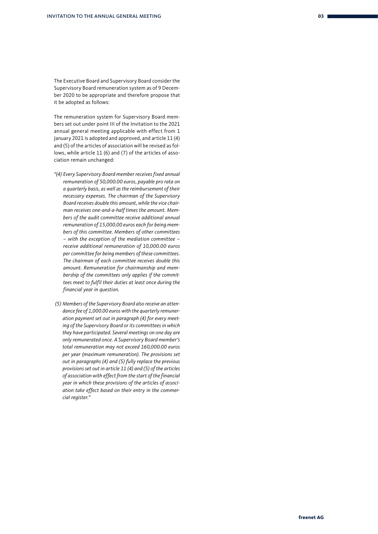The Executive Board and Supervisory Board consider the Supervisory Board remuneration system as of 9 December 2020 to be appropriate and therefore propose that it be adopted as follows:

The remuneration system for Supervisory Board members set out under point III of the Invitation to the 2021 annual general meeting applicable with effect from 1 January 2021 is adopted and approved, and article 11 (4) and (5) of the articles of association will be revised as follows, while article 11 (6) and (7) of the articles of association remain unchanged:

- *"(4) Every Supervisory Board member receives fixed annual remuneration of 50,000.00 euros, payable pro rata on a quarterly basis, as well as the reimbursement of their necessary expenses. The chairman of the Supervisory Board receives double this amount, while the vice chairman receives one-and-a-half times the amount. Members of the audit committee receive additional annual remuneration of 15,000.00 euros each for being members of this committee. Members of other committees – with the exception of the mediation committee – receive additional remuneration of 10,000.00 euros per committee for being members of these committees. The chairman of each committee receives double this amount. Remuneration for chairmanship and membership of the committees only applies if the committees meet to fulfil their duties at least once during the financial year in question.*
- *(5) Members of the Supervisory Board also receive an attendance fee of 1,000.00 euros with the quarterly remuneration payment set out in paragraph (4) for every meeting of the Supervisory Board or its committees in which they have participated. Several meetings on one day are only remunerated once. A Supervisory Board member's total remuneration may not exceed 160,000.00 euros per year (maximum remuneration). The provisions set out in paragraphs (4) and (5) fully replace the previous provisions set out in article 11 (4) and (5) of the articles of association with effect from the start of the financial year in which these provisions of the articles of association take effect based on their entry in the commercial register."*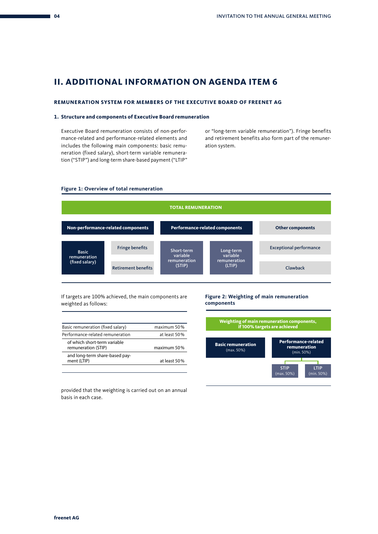## **II. ADDITIONAL INFORMATION ON AGENDA ITEM 6**

#### **REMUNERATION SYSTEM FOR MEMBERS OF THE EXECUTIVE BOARD OF FREENET AG**

#### **1. Structure and components of Executive Board remuneration**

Executive Board remuneration consists of non-performance-related and performance-related elements and includes the following main components: basic remuneration (fixed salary), short-term variable remuneration ("STIP") and long-term share-based payment ("LTIP"

or "long-term variable remuneration"). Fringe benefits and retirement benefits also form part of the remuneration system.

#### **Figure 1: Overview of total remuneration**



If targets are 100% achieved, the main components are weighted as follows:

| Basic remuneration (fixed salary)                   | maximum 50%  |
|-----------------------------------------------------|--------------|
| Performance-related remuneration                    | at least 50% |
| of which short-term variable<br>remuneration (STIP) | maximum 50%  |
| and long-term share-based pay-<br>ment (LTIP)       | at least 50% |
|                                                     |              |

#### **Figure 2: Weighting of main remuneration components**



provided that the weighting is carried out on an annual basis in each case.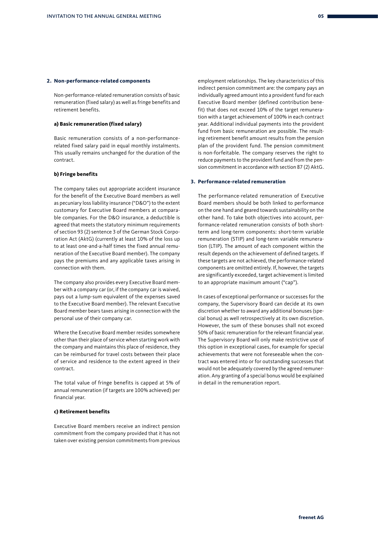#### **2. Non-performance-related components**

Non-performance-related remuneration consists of basic remuneration (fixed salary) as well as fringe benefits and retirement benefits.

#### **a) Basic remuneration (fixed salary)**

Basic remuneration consists of a non-performancerelated fixed salary paid in equal monthly instalments. This usually remains unchanged for the duration of the contract.

#### **b) Fringe benefits**

The company takes out appropriate accident insurance for the benefit of the Executive Board members as well as pecuniary loss liability insurance ("D&O") to the extent customary for Executive Board members at comparable companies. For the D&O insurance, a deductible is agreed that meets the statutory minimum requirements of section 93 (2) sentence 3 of the German Stock Corporation Act (AktG) (currently at least 10% of the loss up to at least one-and-a-half times the fixed annual remuneration of the Executive Board member). The company pays the premiums and any applicable taxes arising in connection with them.

The company also provides every Executive Board member with a company car (or, if the company car is waived, pays out a lump-sum equivalent of the expenses saved to the Executive Board member). The relevant Executive Board member bears taxes arising in connection with the personal use of their company car.

Where the Executive Board member resides somewhere other than their place of service when starting work with the company and maintains this place of residence, they can be reimbursed for travel costs between their place of service and residence to the extent agreed in their contract.

The total value of fringe benefits is capped at 5% of annual remuneration (if targets are 100% achieved) per financial year.

#### **c) Retirement benefits**

Executive Board members receive an indirect pension commitment from the company provided that it has not taken over existing pension commitments from previous employment relationships. The key characteristics of this indirect pension commitment are: the company pays an individually agreed amount into a provident fund for each Executive Board member (defined contribution benefit) that does not exceed 10% of the target remuneration with a target achievement of 100% in each contract year. Additional individual payments into the provident fund from basic remuneration are possible. The resulting retirement benefit amount results from the pension plan of the provident fund. The pension commitment is non-forfeitable. The company reserves the right to reduce payments to the provident fund and from the pension commitment in accordance with section 87 (2) AktG.

#### **3. Performance-related remuneration**

The performance-related remuneration of Executive Board members should be both linked to performance on the one hand and geared towards sustainability on the other hand. To take both objectives into account, performance-related remuneration consists of both shortterm and long-term components: short-term variable remuneration (STIP) and long-term variable remuneration (LTIP). The amount of each component within the result depends on the achievement of defined targets. If these targets are not achieved, the performance-related components are omitted entirely. If, however, the targets are significantly exceeded, target achievement is limited to an appropriate maximum amount ("cap").

In cases of exceptional performance or successes for the company, the Supervisory Board can decide at its own discretion whether to award any additional bonuses (special bonus) as well retrospectively at its own discretion. However, the sum of these bonuses shall not exceed 50% of basic remuneration for the relevant financial year. The Supervisory Board will only make restrictive use of this option in exceptional cases, for example for special achievements that were not foreseeable when the contract was entered into or for outstanding successes that would not be adequately covered by the agreed remuneration. Any granting of a special bonus would be explained in detail in the remuneration report.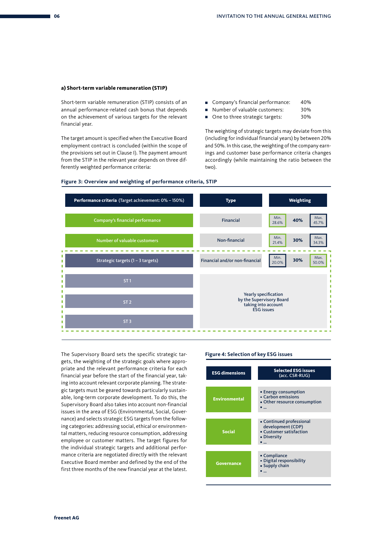#### **a) Short-term variable remuneration (STIP)**

Short-term variable remuneration (STIP) consists of an annual performance-related cash bonus that depends on the achievement of various targets for the relevant financial year.

The target amount is specified when the Executive Board employment contract is concluded (within the scope of the provisions set out in Clause I). The payment amount from the STIP in the relevant year depends on three differently weighted performance criteria:

- Company's financial performance: 40%
- Number of valuable customers: 30%
- One to three strategic targets: 30%

The weighting of strategic targets may deviate from this (including for individual financial years) by between 20% and 50%. In this case, the weighting of the company earnings and customer base performance criteria changes accordingly (while maintaining the ratio between the two).



#### **Figure 3: Overview and weighting of performance criteria, STIP**

The Supervisory Board sets the specific strategic targets, the weighting of the strategic goals where appropriate and the relevant performance criteria for each financial year before the start of the financial year, taking into account relevant corporate planning. The strategic targets must be geared towards particularly sustainable, long-term corporate development. To do this, the Supervisory Board also takes into account non-financial issues in the area of ESG (Environmental, Social, Governance) and selects strategic ESG targets from the following categories: addressing social, ethical or environmental matters, reducing resource consumption, addressing employee or customer matters. The target figures for the individual strategic targets and additional performance criteria are negotiated directly with the relevant Executive Board member and defined by the end of the first three months of the new financial year at the latest.

#### **Figure 4: Selection of key ESG issues**

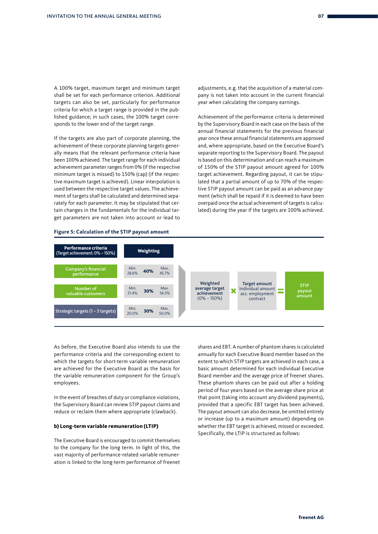A 100% target, maximum target and minimum target shall be set for each performance criterion. Additional targets can also be set, particularly for performance criteria for which a target range is provided in the published guidance; in such cases, the 100% target corresponds to the lower end of the target range.

If the targets are also part of corporate planning, the achievement of these corporate planning targets generally means that the relevant performance criteria have been 100% achieved. The target range for each individual achievement parameter ranges from 0% (if the respective minimum target is missed) to 150% (cap) (if the respective maximum target is achieved). Linear interpolation is used between the respective target values. The achievement of targets shall be calculated and determined separately for each parameter. It may be stipulated that certain changes in the fundamentals for the individual target parameters are not taken into account or lead to adjustments, e.g. that the acquisition of a material company is not taken into account in the current financial year when calculating the company earnings.

Achievement of the performance criteria is determined by the Supervisory Board in each case on the basis of the annual financial statements for the previous financial year once these annual financial statements are approved and, where appropriate, based on the Executive Board's separate reporting to the Supervisory Board. The payout is based on this determination and can reach a maximum of 150% of the STIP payout amount agreed for 100% target achievement. Regarding payout, it can be stipulated that a partial amount of up to 70% of the respective STIP payout amount can be paid as an advance payment (which shall be repaid if it is deemed to have been overpaid once the actual achievement of targets is calculated) during the year if the targets are 100% achieved.

#### **Figure 5: Calculation of the STIP payout amount**



As before, the Executive Board also intends to use the performance criteria and the corresponding extent to which the targets for short-term variable remuneration are achieved for the Executive Board as the basis for the variable remuneration component for the Group's employees.

In the event of breaches of duty or compliance violations, the Supervisory Board can review STIP payout claims and reduce or reclaim them where appropriate (clawback).

#### **b) Long-term variable remuneration (LTIP)**

The Executive Board is encouraged to commit themselves to the company for the long term. In light of this, the vast majority of performance-related variable remuneration is linked to the long-term performance of freenet shares and EBT. A number of phantom shares is calculated annually for each Executive Board member based on the extent to which STIP targets are achieved in each case, a basic amount determined for each individual Executive Board member and the average price of freenet shares. These phantom shares can be paid out after a holding period of four years based on the average share price at that point (taking into account any dividend payments), provided that a specific EBT target has been achieved. The payout amount can also decrease, be omitted entirely or increase (up to a maximum amount) depending on whether the EBT target is achieved, missed or exceeded. Specifically, the LTIP is structured as follows: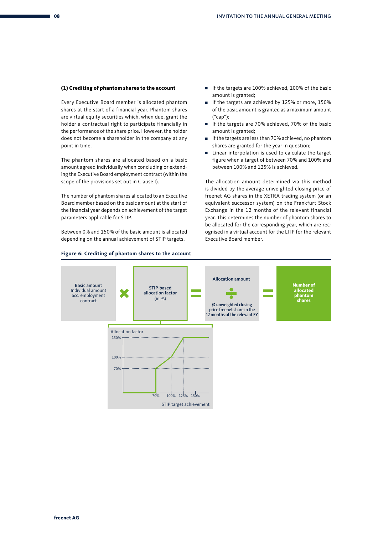#### **(1) Crediting of phantom shares to the account**

Every Executive Board member is allocated phantom shares at the start of a financial year. Phantom shares are virtual equity securities which, when due, grant the holder a contractual right to participate financially in the performance of the share price. However, the holder does not become a shareholder in the company at any point in time.

The phantom shares are allocated based on a basic amount agreed individually when concluding or extending the Executive Board employment contract (within the scope of the provisions set out in Clause I).

The number of phantom shares allocated to an Executive Board member based on the basic amount at the start of the financial year depends on achievement of the target parameters applicable for STIP.

Between 0% and 150% of the basic amount is allocated depending on the annual achievement of STIP targets.

- If the targets are 100% achieved, 100% of the basic amount is granted;
- If the targets are achieved by 125% or more, 150% of the basic amount is granted as a maximum amount ("cap");
- If the targets are 70% achieved, 70% of the basic amount is granted;
- If the targets are less than 70% achieved, no phantom shares are granted for the year in question;
- Linear interpolation is used to calculate the target figure when a target of between 70% and 100% and between 100% and 125% is achieved.

The allocation amount determined via this method is divided by the average unweighted closing price of freenet AG shares in the XETRA trading system (or an equivalent successor system) on the Frankfurt Stock Exchange in the 12 months of the relevant financial year. This determines the number of phantom shares to be allocated for the corresponding year, which are recognised in a virtual account for the LTIP for the relevant Executive Board member.

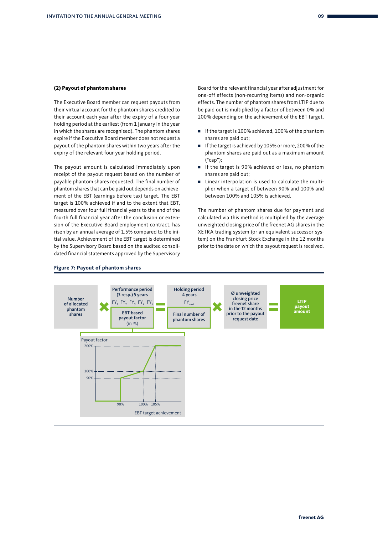#### **(2) Payout of phantom shares**

The Executive Board member can request payouts from their virtual account for the phantom shares credited to their account each year after the expiry of a four-year holding period at the earliest (from 1 January in the year in which the shares are recognised). The phantom shares expire if the Executive Board member does not request a payout of the phantom shares within two years after the expiry of the relevant four-year holding period.

The payout amount is calculated immediately upon receipt of the payout request based on the number of payable phantom shares requested. The final number of phantom shares that can be paid out depends on achievement of the EBT (earnings before tax) target. The EBT target is 100% achieved if and to the extent that EBT, measured over four full financial years to the end of the fourth full financial year after the conclusion or extension of the Executive Board employment contract, has risen by an annual average of 1.5% compared to the initial value. Achievement of the EBT target is determined by the Supervisory Board based on the audited consolidated financial statements approved by the Supervisory Board for the relevant financial year after adjustment for one-off effects (non-recurring items) and non-organic effects. The number of phantom shares from LTIP due to be paid out is multiplied by a factor of between 0% and 200% depending on the achievement of the EBT target.

- If the target is 100% achieved, 100% of the phantom shares are paid out;
- If the target is achieved by 105% or more, 200% of the phantom shares are paid out as a maximum amount ("cap");
- If the target is 90% achieved or less, no phantom shares are paid out;
- Linear interpolation is used to calculate the multiplier when a target of between 90% and 100% and between 100% and 105% is achieved.

The number of phantom shares due for payment and calculated via this method is multiplied by the average unweighted closing price of the freenet AG shares in the XETRA trading system (or an equivalent successor system) on the Frankfurt Stock Exchange in the 12 months prior to the date on which the payout request is received.



#### **Figure 7: Payout of phantom shares**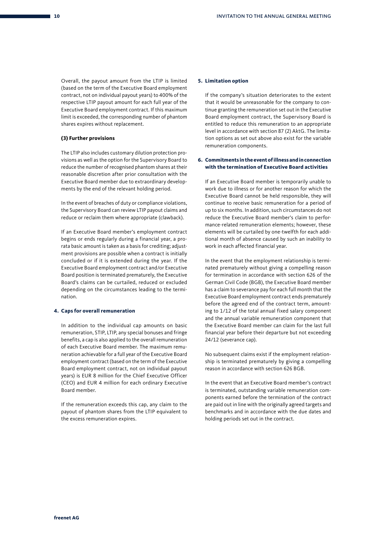Overall, the payout amount from the LTIP is limited (based on the term of the Executive Board employment contract, not on individual payout years) to 400% of the respective LTIP payout amount for each full year of the Executive Board employment contract. If this maximum limit is exceeded, the corresponding number of phantom shares expires without replacement.

#### **(3) Further provisions**

The LTIP also includes customary dilution protection provisions as well as the option for the Supervisory Board to reduce the number of recognised phantom shares at their reasonable discretion after prior consultation with the Executive Board member due to extraordinary developments by the end of the relevant holding period.

In the event of breaches of duty or compliance violations, the Supervisory Board can review LTIP payout claims and reduce or reclaim them where appropriate (clawback).

If an Executive Board member's employment contract begins or ends regularly during a financial year, a prorata basic amount is taken as a basis for crediting; adjustment provisions are possible when a contract is initially concluded or if it is extended during the year. If the Executive Board employment contract and/or Executive Board position is terminated prematurely, the Executive Board's claims can be curtailed, reduced or excluded depending on the circumstances leading to the termination.

#### **4. Caps for overall remuneration**

In addition to the individual cap amounts on basic remuneration, STIP, LTIP, any special bonuses and fringe benefits, a cap is also applied to the overall remuneration of each Executive Board member. The maximum remuneration achievable for a full year of the Executive Board employment contract (based on the term of the Executive Board employment contract, not on individual payout years) is EUR 8 million for the Chief Executive Officer (CEO) and EUR 4 million for each ordinary Executive Board member.

If the remuneration exceeds this cap, any claim to the payout of phantom shares from the LTIP equivalent to the excess remuneration expires.

#### **5. Limitation option**

If the company's situation deteriorates to the extent that it would be unreasonable for the company to continue granting the remuneration set out in the Executive Board employment contract, the Supervisory Board is entitled to reduce this remuneration to an appropriate level in accordance with section 87 (2) AktG. The limitation options as set out above also exist for the variable remuneration components.

#### **6. Commitments in the event of illness and in connection with the termination of Executive Board activities**

If an Executive Board member is temporarily unable to work due to illness or for another reason for which the Executive Board cannot be held responsible, they will continue to receive basic remuneration for a period of up to six months. In addition, such circumstances do not reduce the Executive Board member's claim to performance-related remuneration elements; however, these elements will be curtailed by one-twelfth for each additional month of absence caused by such an inability to work in each affected financial year.

In the event that the employment relationship is terminated prematurely without giving a compelling reason for termination in accordance with section 626 of the German Civil Code (BGB), the Executive Board member has a claim to severance pay for each full month that the Executive Board employment contract ends prematurely before the agreed end of the contract term, amounting to 1/12 of the total annual fixed salary component and the annual variable remuneration component that the Executive Board member can claim for the last full financial year before their departure but not exceeding 24/12 (severance cap).

No subsequent claims exist if the employment relationship is terminated prematurely by giving a compelling reason in accordance with section 626 BGB.

In the event that an Executive Board member's contract is terminated, outstanding variable remuneration components earned before the termination of the contract are paid out in line with the originally agreed targets and benchmarks and in accordance with the due dates and holding periods set out in the contract.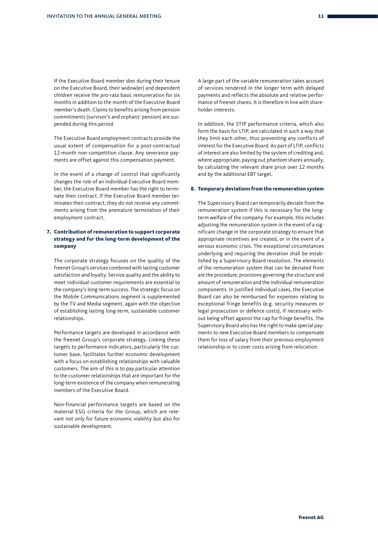If the Executive Board member dies during their tenure on the Executive Board, their widow(er) and dependent children receive the pro-rata basic remuneration for six months in addition to the month of the Executive Board member's death. Claims to benefits arising from pension commitments (survivor's and orphans' pension) are suspended during this period.

The Executive Board employment contracts provide the usual extent of compensation for a post-contractual 12-month non-competition clause. Any severance payments are offset against this compensation payment.

In the event of a change of control that significantly changes the role of an individual Executive Board member, the Executive Board member has the right to terminate their contract. If the Executive Board member terminates their contract, they do not receive any commitments arising from the premature termination of their employment contract.

#### **7. Contribution of remuneration to support corporate strategy and for the long-term development of the company**

The corporate strategy focuses on the quality of the freenet Group's services combined with lasting customer satisfaction and loyalty. Service quality and the ability to meet individual customer requirements are essential to the company's long-term success. The strategic focus on the Mobile Communications segment is supplemented by the TV and Media segment, again with the objective of establishing lasting long-term, sustainable customer relationships.

Performance targets are developed in accordance with the freenet Group's corporate strategy. Linking these targets to performance indicators, particularly the customer base, facilitates further economic development with a focus on establishing relationships with valuable customers. The aim of this is to pay particular attention to the customer relationships that are important for the long-term existence of the company when remunerating members of the Executive Board.

Non-financial performance targets are based on the material ESG criteria for the Group, which are relevant not only for future economic viability but also for sustainable development.

A large part of the variable remuneration takes account of services rendered in the longer term with delayed payments and reflects the absolute and relative performance of freenet shares. It is therefore in line with shareholder interests.

In addition, the STIP performance criteria, which also form the basis for LTIP, are calculated in such a way that they limit each other, thus preventing any conflicts of interest for the Executive Board. As part of LTIP, conflicts of interest are also limited by the system of crediting and, where appropriate, paying out phantom shares annually, by calculating the relevant share price over 12 months and by the additional EBT target.

#### **8. Temporary deviations from the remuneration system**

The Supervisory Board can temporarily deviate from the remuneration system if this is necessary for the longterm welfare of the company. For example, this includes adjusting the remuneration system in the event of a significant change in the corporate strategy to ensure that appropriate incentives are created, or in the event of a serious economic crisis. The exceptional circumstances underlying and requiring the deviation shall be established by a Supervisory Board resolution. The elements of the remuneration system that can be deviated from are the procedure, provisions governing the structure and amount of remuneration and the individual remuneration components. In justified individual cases, the Executive Board can also be reimbursed for expenses relating to exceptional fringe benefits (e.g. security measures or legal prosecution or defence costs), if necessary without being offset against the cap for fringe benefits. The Supervisory Board also has the right to make special payments to new Executive Board members to compensate them for loss of salary from their previous employment relationship or to cover costs arising from relocation.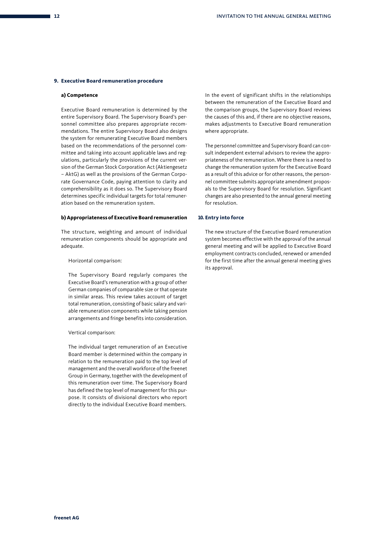#### **9. Executive Board remuneration procedure**

#### **a) Competence**

Executive Board remuneration is determined by the entire Supervisory Board. The Supervisory Board's personnel committee also prepares appropriate recommendations. The entire Supervisory Board also designs the system for remunerating Executive Board members based on the recommendations of the personnel committee and taking into account applicable laws and regulations, particularly the provisions of the current version of the German Stock Corporation Act (Aktiengesetz – AktG) as well as the provisions of the German Corporate Governance Code, paying attention to clarity and comprehensibility as it does so. The Supervisory Board determines specific individual targets for total remuneration based on the remuneration system.

#### **b) Appropriateness of Executive Board remuneration**

The structure, weighting and amount of individual remuneration components should be appropriate and adequate.

#### Horizontal comparison:

The Supervisory Board regularly compares the Executive Board's remuneration with a group of other German companies of comparable size or that operate in similar areas. This review takes account of target total remuneration, consisting of basic salary and variable remuneration components while taking pension arrangements and fringe benefits into consideration.

#### Vertical comparison:

The individual target remuneration of an Executive Board member is determined within the company in relation to the remuneration paid to the top level of management and the overall workforce of the freenet Group in Germany, together with the development of this remuneration over time. The Supervisory Board has defined the top level of management for this purpose. It consists of divisional directors who report directly to the individual Executive Board members.

In the event of significant shifts in the relationships between the remuneration of the Executive Board and the comparison groups, the Supervisory Board reviews the causes of this and, if there are no objective reasons, makes adjustments to Executive Board remuneration where appropriate.

The personnel committee and Supervisory Board can consult independent external advisors to review the appropriateness of the remuneration. Where there is a need to change the remuneration system for the Executive Board as a result of this advice or for other reasons, the personnel committee submits appropriate amendment proposals to the Supervisory Board for resolution. Significant changes are also presented to the annual general meeting for resolution.

#### **10. Entry into force**

The new structure of the Executive Board remuneration system becomes effective with the approval of the annual general meeting and will be applied to Executive Board employment contracts concluded, renewed or amended for the first time after the annual general meeting gives its approval.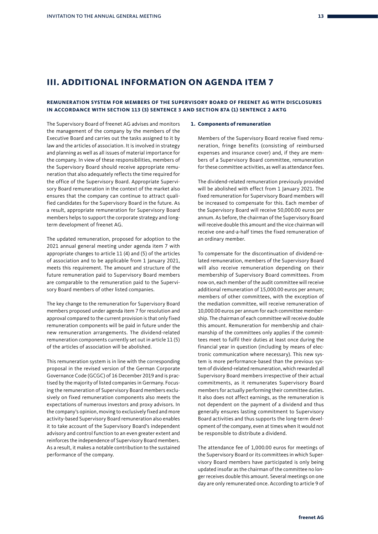## **III. ADDITIONAL INFORMATION ON AGENDA ITEM 7**

#### **REMUNERATION SYSTEM FOR MEMBERS OF THE SUPERVISORY BOARD OF FREENET AG WITH DISCLOSURES IN ACCORDANCE WITH SECTION 113 (3) SENTENCE 3 AND SECTION 87A (1) SENTENCE 2 AKTG**

The Supervisory Board of freenet AG advises and monitors the management of the company by the members of the Executive Board and carries out the tasks assigned to it by law and the articles of association. It is involved in strategy and planning as well as all issues of material importance for the company. In view of these responsibilities, members of the Supervisory Board should receive appropriate remuneration that also adequately reflects the time required for the office of the Supervisory Board. Appropriate Supervisory Board remuneration in the context of the market also ensures that the company can continue to attract qualified candidates for the Supervisory Board in the future. As a result, appropriate remuneration for Supervisory Board members helps to support the corporate strategy and longterm development of freenet AG.

The updated remuneration, proposed for adoption to the 2021 annual general meeting under agenda item 7 with appropriate changes to article 11 (4) and (5) of the articles of association and to be applicable from 1 January 2021, meets this requirement. The amount and structure of the future remuneration paid to Supervisory Board members are comparable to the remuneration paid to the Supervisory Board members of other listed companies.

The key change to the remuneration for Supervisory Board members proposed under agenda item 7 for resolution and approval compared to the current provision is that only fixed remuneration components will be paid in future under the new remuneration arrangements. The dividend-related remuneration components currently set out in article 11 (5) of the articles of association will be abolished.

This remuneration system is in line with the corresponding proposal in the revised version of the German Corporate Governance Code (GCGC) of 16 December 2019 and is practised by the majority of listed companies in Germany. Focusing the remuneration of Supervisory Board members exclusively on fixed remuneration components also meets the expectations of numerous investors and proxy advisors. In the company's opinion, moving to exclusively fixed and more activity-based Supervisory Board remuneration also enables it to take account of the Supervisory Board's independent advisory and control function to an even greater extent and reinforces the independence of Supervisory Board members. As a result, it makes a notable contribution to the sustained performance of the company.

#### **1. Components of remuneration**

Members of the Supervisory Board receive fixed remuneration, fringe benefits (consisting of reimbursed expenses and insurance cover) and, if they are members of a Supervisory Board committee, remuneration for these committee activities, as well as attendance fees.

The dividend-related remuneration previously provided will be abolished with effect from 1 January 2021. The fixed remuneration for Supervisory Board members will be increased to compensate for this. Each member of the Supervisory Board will receive 50,000.00 euros per annum. As before, the chairman of the Supervisory Board will receive double this amount and the vice chairman will receive one-and-a-half times the fixed remuneration of an ordinary member.

To compensate for the discontinuation of dividend-related remuneration, members of the Supervisory Board will also receive remuneration depending on their membership of Supervisory Board committees. From now on, each member of the audit committee will receive additional remuneration of 15,000.00 euros per annum; members of other committees, with the exception of the mediation committee, will receive remuneration of 10,000.00 euros per annum for each committee membership. The chairman of each committee will receive double this amount. Remuneration for membership and chairmanship of the committees only applies if the committees meet to fulfil their duties at least once during the financial year in question (including by means of electronic communication where necessary). This new system is more performance-based than the previous system of dividend-related remuneration, which rewarded all Supervisory Board members irrespective of their actual commitments, as it remunerates Supervisory Board members for actually performing their committee duties. It also does not affect earnings, as the remuneration is not dependent on the payment of a dividend and thus generally ensures lasting commitment to Supervisory Board activities and thus supports the long-term development of the company, even at times when it would not be responsible to distribute a dividend.

The attendance fee of 1,000.00 euros for meetings of the Supervisory Board or its committees in which Supervisory Board members have participated is only being updated insofar as the chairman of the committee no longer receives double this amount. Several meetings on one day are only remunerated once. According to article 9 of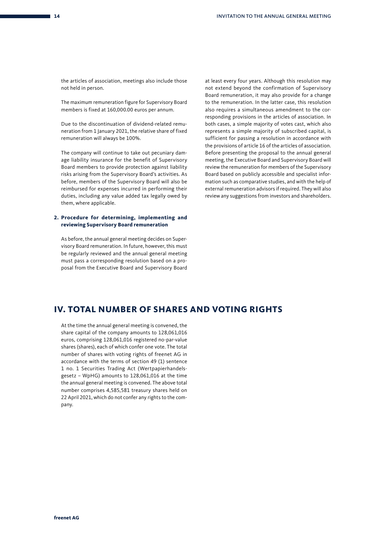the articles of association, meetings also include those not held in person.

The maximum remuneration figure for Supervisory Board members is fixed at 160,000.00 euros per annum.

Due to the discontinuation of dividend-related remuneration from 1 January 2021, the relative share of fixed remuneration will always be 100%.

The company will continue to take out pecuniary damage liability insurance for the benefit of Supervisory Board members to provide protection against liability risks arising from the Supervisory Board's activities. As before, members of the Supervisory Board will also be reimbursed for expenses incurred in performing their duties, including any value added tax legally owed by them, where applicable.

#### **2. Procedure for determining, implementing and reviewing Supervisory Board remuneration**

As before, the annual general meeting decides on Supervisory Board remuneration. In future, however, this must be regularly reviewed and the annual general meeting must pass a corresponding resolution based on a proposal from the Executive Board and Supervisory Board

at least every four years. Although this resolution may not extend beyond the confirmation of Supervisory Board remuneration, it may also provide for a change to the remuneration. In the latter case, this resolution also requires a simultaneous amendment to the corresponding provisions in the articles of association. In both cases, a simple majority of votes cast, which also represents a simple majority of subscribed capital, is sufficient for passing a resolution in accordance with the provisions of article 16 of the articles of association. Before presenting the proposal to the annual general meeting, the Executive Board and Supervisory Board will review the remuneration for members of the Supervisory Board based on publicly accessible and specialist information such as comparative studies, and with the help of external remuneration advisors if required. They will also review any suggestions from investors and shareholders.

## **IV. TOTAL NUMBER OF SHARES AND VOTING RIGHTS**

At the time the annual general meeting is convened, the share capital of the company amounts to 128,061,016 euros, comprising 128,061,016 registered no-par-value shares (shares), each of which confer one vote. The total number of shares with voting rights of freenet AG in accordance with the terms of section 49 (1) sentence 1 no. 1 Securities Trading Act (Wertpapierhandelsgesetz – WpHG) amounts to 128,061,016 at the time the annual general meeting is convened. The above total number comprises 4,585,581 treasury shares held on 22 April 2021, which do not confer any rights to the company.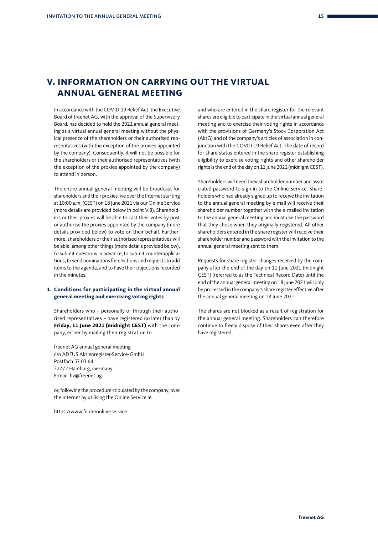## **V. INFORMATION ON CARRYING OUT THE VIRTUAL ANNUAL GENERAL MEETING**

In accordance with the COVID-19 Relief Act, the Executive Board of freenet AG, with the approval of the Supervisory Board, has decided to hold the 2021 annual general meeting as a virtual annual general meeting without the physical presence of the shareholders or their authorised representatives (with the exception of the proxies appointed by the company). Consequently, it will not be possible for the shareholders or their authorised representatives (with the exception of the proxies appointed by the company) to attend in person.

The entire annual general meeting will be broadcast for shareholders and their proxies live over the Internet starting at 10:00 a.m. (CEST) on 18 June 2021 via our Online Service (more details are provided below in point V.8). Shareholders or their proxies will be able to cast their votes by post or authorise the proxies appointed by the company (more details provided below) to vote on their behalf. Furthermore, shareholders or their authorised representatives will be able, among other things (more details provided below), to submit questions in advance, to submit counterapplications, to send nominations for elections and requests to add items to the agenda, and to have their objections recorded in the minutes.

#### **1. Conditions for participating in the virtual annual general meeting and exercising voting rights**

Shareholders who – personally or through their authorised representatives – have registered no later than by **Friday, 11 June 2021 (midnight CEST)** with the company, either by mailing their registration to

freenet AG annual general meeting c/o ADEUS Aktienregister-Service-GmbH Postfach 57 03 64 22772 Hamburg, Germany E-mail: hv@freenet.ag

or, following the procedure stipulated by the company, over the Internet by utilising the Online Service at

https://www.fn.de/online-service

and who are entered in the share register for the relevant shares are eligible to participate in the virtual annual general meeting and to exercise their voting rights in accordance with the provisions of Germany's Stock Corporation Act (AktG) and of the company's articles of association in conjunction with the COVID-19 Relief Act. The date of record for share status entered in the share register establishing eligibility to exercise voting rights and other shareholder rights is the end of the day on 11 June 2021 (midnight CEST).

Shareholders will need their shareholder number and associated password to sign in to the Online Service. Shareholders who had already signed up to receive the invitation to the annual general meeting by e-mail will receive their shareholder number together with the e-mailed invitation to the annual general meeting and must use the password that they chose when they originally registered. All other shareholders entered in the share register will receive their shareholder number and password with the invitation to the annual general meeting sent to them.

Requests for share register changes received by the company after the end of the day on 11 June 2021 (midnight CEST) (referred to as the Technical Record Date) until the end of the annual general meeting on 18 June 2021 will only be processed in the company's share register effective after the annual general meeting on 18 June 2021.

The shares are not blocked as a result of registration for the annual general meeting. Shareholders can therefore continue to freely dispose of their shares even after they have registered.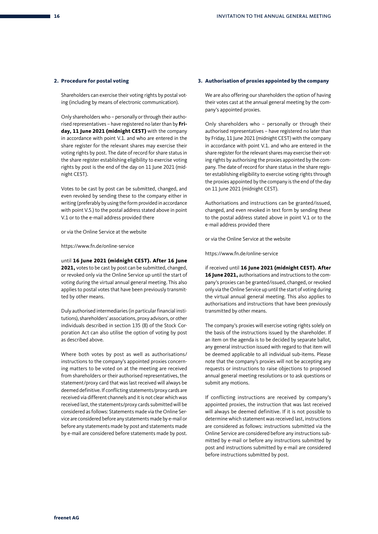#### **2. Procedure for postal voting**

Shareholders can exercise their voting rights by postal voting (including by means of electronic communication).

Only shareholders who – personally or through their authorised representatives – have registered no later than by **Friday, 11 June 2021 (midnight CEST)** with the company in accordance with point V.1. and who are entered in the share register for the relevant shares may exercise their voting rights by post. The date of record for share status in the share register establishing eligibility to exercise voting rights by post is the end of the day on 11 June 2021 (midnight CEST).

Votes to be cast by post can be submitted, changed, and even revoked by sending these to the company either in writing (preferably by using the form provided in accordance with point V.5.) to the postal address stated above in point V.1 or to the e-mail address provided there

or via the Online Service at the website

https://www.fn.de/online-service

until **16 June 2021 (midnight CEST). After 16 June 2021,** votes to be cast by post can be submitted, changed, or revoked only via the Online Service up until the start of voting during the virtual annual general meeting. This also applies to postal votes that have been previously transmitted by other means.

Duly authorised intermediaries (in particular financial institutions), shareholders' associations, proxy advisors, or other individuals described in section 135 (8) of the Stock Corporation Act can also utilise the option of voting by post as described above.

Where both votes by post as well as authorisations/ instructions to the company's appointed proxies concerning matters to be voted on at the meeting are received from shareholders or their authorised representatives, the statement/proxy card that was last received will always be deemed definitive. If conflicting statements/proxy cards are received via different channels and it is not clear which was received last, the statements/proxy cards submitted will be considered as follows: Statements made via the Online Service are considered before any statements made by e-mail or before any statements made by post and statements made by e-mail are considered before statements made by post.

#### **3. Authorisation of proxies appointed by the company**

We are also offering our shareholders the option of having their votes cast at the annual general meeting by the company's appointed proxies.

Only shareholders who – personally or through their authorised representatives – have registered no later than by Friday, 11 June 2021 (midnight CEST) with the company in accordance with point V.1. and who are entered in the share register for the relevant shares may exercise their voting rights by authorising the proxies appointed by the company. The date of record for share status in the share register establishing eligibility to exercise voting rights through the proxies appointed by the company is the end of the day on 11 June 2021 (midnight CEST).

Authorisations and instructions can be granted/issued, changed, and even revoked in text form by sending these to the postal address stated above in point V.1 or to the e-mail address provided there

or via the Online Service at the website

https://www.fn.de/online-service

if received until **16 June 2021 (midnight CEST). After 16 June 2021,** authorisations and instructions to the company's proxies can be granted/issued, changed, or revoked only via the Online Service up until the start of voting during the virtual annual general meeting. This also applies to authorisations and instructions that have been previously transmitted by other means.

The company's proxies will exercise voting rights solely on the basis of the instructions issued by the shareholder. If an item on the agenda is to be decided by separate ballot, any general instruction issued with regard to that item will be deemed applicable to all individual sub-items. Please note that the company's proxies will not be accepting any requests or instructions to raise objections to proposed annual general meeting resolutions or to ask questions or submit any motions.

If conflicting instructions are received by company's appointed proxies, the instruction that was last received will always be deemed definitive. If it is not possible to determine which statement was received last, instructions are considered as follows: instructions submitted via the Online Service are considered before any instructions submitted by e-mail or before any instructions submitted by post and instructions submitted by e-mail are considered before instructions submitted by post.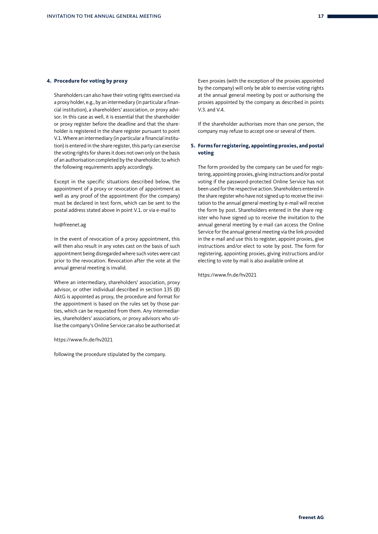#### **4. Procedure for voting by proxy**

Shareholders can also have their voting rights exercised via a proxy holder, e.g., by an intermediary (in particular a financial institution), a shareholders' association, or proxy advisor. In this case as well, it is essential that the shareholder or proxy register before the deadline and that the shareholder is registered in the share register pursuant to point V.1. Where an intermediary (in particular a financial institution) is entered in the share register, this party can exercise the voting rights for shares it does not own only on the basis of an authorisation completed by the shareholder, to which the following requirements apply accordingly.

Except in the specific situations described below, the appointment of a proxy or revocation of appointment as well as any proof of the appointment (for the company) must be declared in text form, which can be sent to the postal address stated above in point V.1. or via e-mail to

#### hv@freenet.ag

In the event of revocation of a proxy appointment, this will then also result in any votes cast on the basis of such appointment being disregarded where such votes were cast prior to the revocation. Revocation after the vote at the annual general meeting is invalid.

Where an intermediary, shareholders' association, proxy advisor, or other individual described in section 135 (8) AktG is appointed as proxy, the procedure and format for the appointment is based on the rules set by those parties, which can be requested from them. Any intermediaries, shareholders' associations, or proxy advisors who utilise the company's Online Service can also be authorised at

#### https://www.fn.de/hv2021

following the procedure stipulated by the company.

Even proxies (with the exception of the proxies appointed by the company) will only be able to exercise voting rights at the annual general meeting by post or authorising the proxies appointed by the company as described in points  $V3$  and  $V4$ 

If the shareholder authorises more than one person, the company may refuse to accept one or several of them.

#### **5. Forms for registering, appointing proxies, and postal voting**

The form provided by the company can be used for registering, appointing proxies, giving instructions and/or postal voting if the password-protected Online Service has not been used for the respective action. Shareholders entered in the share register who have not signed up to receive the invitation to the annual general meeting by e-mail will receive the form by post. Shareholders entered in the share register who have signed up to receive the invitation to the annual general meeting by e-mail can access the Online Service for the annual general meeting via the link provided in the e-mail and use this to register, appoint proxies, give instructions and/or elect to vote by post. The form for registering, appointing proxies, giving instructions and/or electing to vote by mail is also available online at

https://www.fn.de/hv2021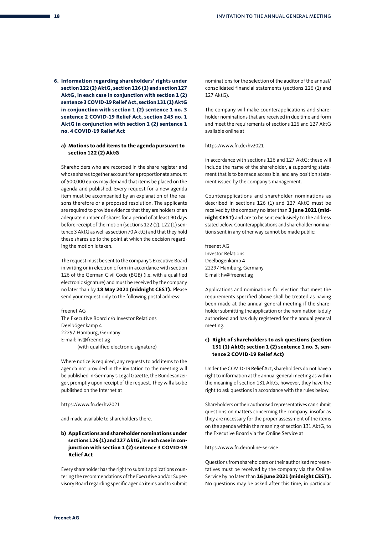**6. Information regarding shareholders' rights under section 122 (2) AktG, section 126 (1) and section 127 AktG, in each case in conjunction with section 1 (2) sentence 3 COVID-19 Relief Act, section 131 (1) AktG in conjunction with section 1 (2) sentence 1 no. 3 sentence 2 COVID-19 Relief Act, section 245 no. 1 AktG in conjunction with section 1 (2) sentence 1 no. 4 COVID-19 Relief Act**

#### **a) Motions to add items to the agenda pursuant to section 122 (2) AktG**

Shareholders who are recorded in the share register and whose shares together account for a proportionate amount of 500,000 euros may demand that items be placed on the agenda and published. Every request for a new agenda item must be accompanied by an explanation of the reasons therefore or a proposed resolution. The applicants are required to provide evidence that they are holders of an adequate number of shares for a period of at least 90 days before receipt of the motion (sections 122 (2), 122 (1) sentence 3 AktG as well as section 70 AktG) and that they hold these shares up to the point at which the decision regarding the motion is taken.

The request must be sent to the company's Executive Board in writing or in electronic form in accordance with section 126 of the German Civil Code (BGB) (i.e. with a qualified electronic signature) and must be received by the company no later than by **18 May 2021 (midnight CEST).** Please send your request only to the following postal address:

#### freenet AG

The Executive Board c/o Investor Relations Deelbögenkamp 4 22297 Hamburg, Germany E-mail: hv@freenet.ag (with qualified electronic signature)

Where notice is required, any requests to add items to the agenda not provided in the invitation to the meeting will be published in Germany's Legal Gazette, the Bundesanzeiger, promptly upon receipt of the request. They will also be published on the Internet at

#### https://www.fn.de/hv2021

and made available to shareholders there.

#### **b) Applications and shareholder nominations under sections 126 (1) and 127 AktG, in each case in conjunction with section 1 (2) sentence 3 COVID-19 Relief Act**

Every shareholder has the right to submit applications countering the recommendations of the Executive and/or Supervisory Board regarding specific agenda items and to submit nominations for the selection of the auditor of the annual/ consolidated financial statements (sections 126 (1) and 127 AktG).

The company will make counterapplications and shareholder nominations that are received in due time and form and meet the requirements of sections 126 and 127 AktG available online at

#### https://www.fn.de/hv2021

in accordance with sections 126 and 127 AktG; these will include the name of the shareholder, a supporting statement that is to be made accessible, and any position statement issued by the company's management.

Counterapplications and shareholder nominations as described in sections 126 (1) and 127 AktG must be received by the company no later than **3 June 2021 (midnight CEST)** and are to be sent exclusively to the address stated below. Counterapplications and shareholder nominations sent in any other way cannot be made public:

freenet AG Investor Relations Deelbögenkamp 4 22297 Hamburg, Germany E-mail: hv@freenet.ag

Applications and nominations for election that meet the requirements specified above shall be treated as having been made at the annual general meeting if the shareholder submitting the application or the nomination is duly authorised and has duly registered for the annual general meeting.

#### **c) Right of shareholders to ask questions (section 131 (1) AktG; section 1 (2) sentence 1 no. 3, sentence 2 COVID-19 Relief Act)**

Under the COVID-19 Relief Act, shareholders do not have a right to information at the annual general meeting as within the meaning of section 131 AktG, however, they have the right to ask questions in accordance with the rules below.

Shareholders or their authorised representatives can submit questions on matters concerning the company, insofar as they are necessary for the proper assessment of the items on the agenda within the meaning of section 131 AktG, to the Executive Board via the Online Service at

#### https://www.fn.de/online-service

Questions from shareholders or their authorised representatives must be received by the company via the Online Service by no later than **16 June 2021 (midnight CEST).** No questions may be asked after this time, in particular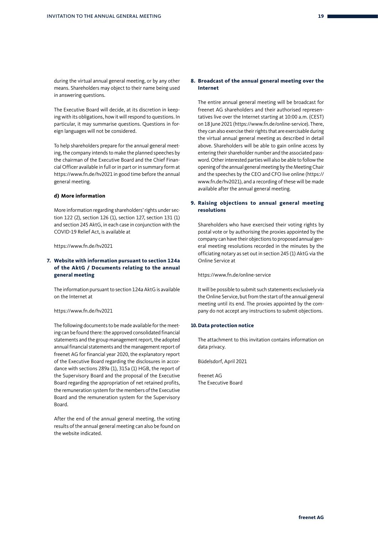during the virtual annual general meeting, or by any other means. Shareholders may object to their name being used in answering questions.

The Executive Board will decide, at its discretion in keeping with its obligations, how it will respond to questions. In particular, it may summarise questions. Questions in foreign languages will not be considered.

To help shareholders prepare for the annual general meeting, the company intends to make the planned speeches by the chairman of the Executive Board and the Chief Financial Officer available in full or in part or in summary form at https://www.fn.de/hv2021 in good time before the annual general meeting.

#### **d) More information**

More information regarding shareholders' rights under section 122 (2), section 126 (1), section 127, section 131 (1) and section 245 AktG, in each case in conjunction with the COVID-19 Relief Act, is available at

https://www.fn.de/hv2021

#### **7. Website with information pursuant to section 124a of the AktG / Documents relating to the annual general meeting**

The information pursuant to section 124a AktG is available on the Internet at

#### https://www.fn.de/hv2021

The following documents to be made available for the meeting can be found there: the approved consolidated financial statements and the group management report, the adopted annual financial statements and the management report of freenet AG for financial year 2020, the explanatory report of the Executive Board regarding the disclosures in accordance with sections 289a (1), 315a (1) HGB, the report of the Supervisory Board and the proposal of the Executive Board regarding the appropriation of net retained profits, the remuneration system for the members of the Executive Board and the remuneration system for the Supervisory Board.

After the end of the annual general meeting, the voting results of the annual general meeting can also be found on the website indicated.

#### **8. Broadcast of the annual general meeting over the Internet**

The entire annual general meeting will be broadcast for freenet AG shareholders and their authorised representatives live over the Internet starting at 10:00 a.m. (CEST) on 18 June 2021 (https://www.fn.de/online-service). There, they can also exercise their rights that are exercisable during the virtual annual general meeting as described in detail above. Shareholders will be able to gain online access by entering their shareholder number and the associated password. Other interested parties will also be able to follow the opening of the annual general meeting by the Meeting Chair and the speeches by the CEO and CFO live online (https:// www.fn.de/hv2021), and a recording of these will be made available after the annual general meeting.

#### **9. Raising objections to annual general meeting resolutions**

Shareholders who have exercised their voting rights by postal vote or by authorising the proxies appointed by the company can have their objections to proposed annual general meeting resolutions recorded in the minutes by the officiating notary as set out in section 245 (1) AktG via the Online Service at

https://www.fn.de/online-service

It will be possible to submit such statements exclusively via the Online Service, but from the start of the annual general meeting until its end. The proxies appointed by the company do not accept any instructions to submit objections.

#### **10.Data protection notice**

The attachment to this invitation contains information on data privacy.

Büdelsdorf, April 2021

freenet AG The Executive Board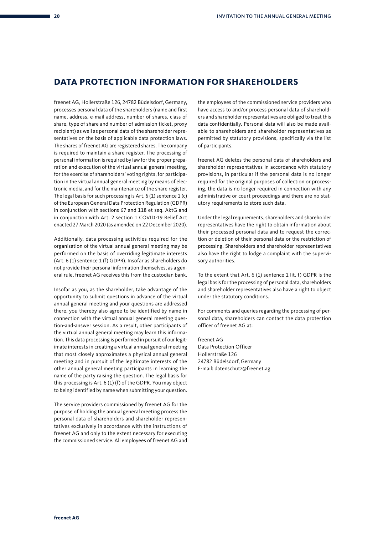## **DATA PROTECTION INFORMATION FOR SHAREHOLDERS**

freenet AG, Hollerstraße 126, 24782 Büdelsdorf, Germany, processes personal data of the shareholders (name and first name, address, e-mail address, number of shares, class of share, type of share and number of admission ticket, proxy recipient) as well as personal data of the shareholder representatives on the basis of applicable data protection laws. The shares of freenet AG are registered shares. The company is required to maintain a share register. The processing of personal information is required by law for the proper preparation and execution of the virtual annual general meeting, for the exercise of shareholders' voting rights, for participation in the virtual annual general meeting by means of electronic media, and for the maintenance of the share register. The legal basis for such processing is Art.  $6(1)$  sentence  $1(c)$ of the European General Data Protection Regulation (GDPR) in conjunction with sections 67 and 118 et seq. AktG and in conjunction with Art. 2 section 1 COVID-19 Relief Act enacted 27 March 2020 (as amended on 22 December 2020).

Additionally, data processing activities required for the organisation of the virtual annual general meeting may be performed on the basis of overriding legitimate interests (Art. 6 (1) sentence 1 (f) GDPR). Insofar as shareholders do not provide their personal information themselves, as a general rule, freenet AG receives this from the custodian bank.

Insofar as you, as the shareholder, take advantage of the opportunity to submit questions in advance of the virtual annual general meeting and your questions are addressed there, you thereby also agree to be identified by name in connection with the virtual annual general meeting question-and-answer session. As a result, other participants of the virtual annual general meeting may learn this information. This data processing is performed in pursuit of our legitimate interests in creating a virtual annual general meeting that most closely approximates a physical annual general meeting and in pursuit of the legitimate interests of the other annual general meeting participants in learning the name of the party raising the question. The legal basis for this processing is Art. 6 (1) (f) of the GDPR. You may object to being identified by name when submitting your question.

The service providers commissioned by freenet AG for the purpose of holding the annual general meeting process the personal data of shareholders and shareholder representatives exclusively in accordance with the instructions of freenet AG and only to the extent necessary for executing the commissioned service. All employees of freenet AG and the employees of the commissioned service providers who have access to and/or process personal data of shareholders and shareholder representatives are obliged to treat this data confidentially. Personal data will also be made available to shareholders and shareholder representatives as permitted by statutory provisions, specifically via the list of participants.

freenet AG deletes the personal data of shareholders and shareholder representatives in accordance with statutory provisions, in particular if the personal data is no longer required for the original purposes of collection or processing, the data is no longer required in connection with any administrative or court proceedings and there are no statutory requirements to store such data.

Under the legal requirements, shareholders and shareholder representatives have the right to obtain information about their processed personal data and to request the correction or deletion of their personal data or the restriction of processing. Shareholders and shareholder representatives also have the right to lodge a complaint with the supervisory authorities.

To the extent that Art. 6 (1) sentence 1 lit. f) GDPR is the legal basis for the processing of personal data, shareholders and shareholder representatives also have a right to object under the statutory conditions.

For comments and queries regarding the processing of personal data, shareholders can contact the data protection officer of freenet AG at:

freenet AG Data Protection Officer Hollerstraße 126 24782 Büdelsdorf, Germany E-mail: datenschutz@freenet.ag